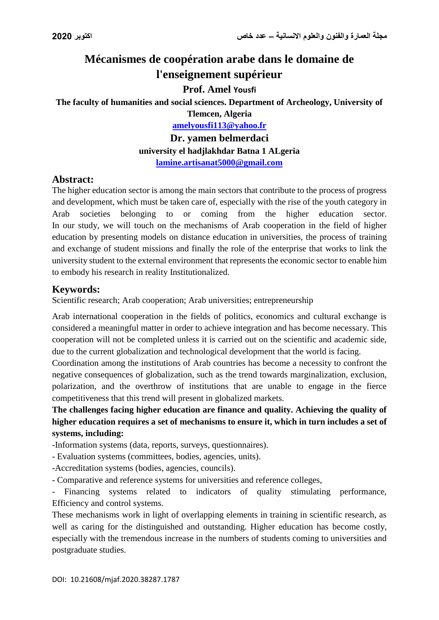# **Mécanismes de coopération arabe dans le domaine de l'enseignement supérieur**

#### **Prof. Amel Yousfi**

**The faculty of humanities and social sciences. Department of Archeology, University of** 

**Tlemcen, Algeria [amelyousfi113@yahoo.fr](mailto:amelyousfi113@yahoo.fr)**

**Dr. yamen belmerdaci**

**university el hadjlakhdar Batna 1 ALgeria [lamine.artisanat5000@gmail.com](mailto:lamine.artisanat5000@gmail.com)**

### **Abstract:**

The higher education sector is among the main sectors that contribute to the process of progress and development, which must be taken care of, especially with the rise of the youth category in Arab societies belonging to or coming from the higher education sector. In our study, we will touch on the mechanisms of Arab cooperation in the field of higher education by presenting models on distance education in universities, the process of training and exchange of student missions and finally the role of the enterprise that works to link the university student to the external environment that represents the economic sector to enable him to embody his research in reality Institutionalized.

# **Keywords:**

Scientific research; Arab cooperation; Arab universities; entrepreneurship

Arab international cooperation in the fields of politics, economics and cultural exchange is considered a meaningful matter in order to achieve integration and has become necessary. This cooperation will not be completed unless it is carried out on the scientific and academic side, due to the current globalization and technological development that the world is facing.

Coordination among the institutions of Arab countries has become a necessity to confront the negative consequences of globalization, such as the trend towards marginalization, exclusion, polarization, and the overthrow of institutions that are unable to engage in the fierce competitiveness that this trend will present in globalized markets.

**The challenges facing higher education are finance and quality. Achieving the quality of higher education requires a set of mechanisms to ensure it, which in turn includes a set of systems, including:**

-Information systems (data, reports, surveys, questionnaires).

- Evaluation systems (committees, bodies, agencies, units).

-Accreditation systems (bodies, agencies, councils).

- Comparative and reference systems for universities and reference colleges,

- Financing systems related to indicators of quality stimulating performance, Efficiency and control systems.

These mechanisms work in light of overlapping elements in training in scientific research, as well as caring for the distinguished and outstanding. Higher education has become costly, especially with the tremendous increase in the numbers of students coming to universities and postgraduate studies.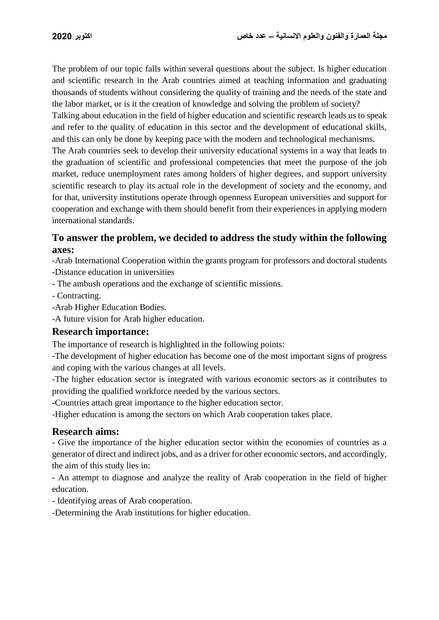The problem of our topic falls within several questions about the subject. Is higher education and scientific research in the Arab countries aimed at teaching information and graduating thousands of students without considering the quality of training and the needs of the state and the labor market, or is it the creation of knowledge and solving the problem of society?

Talking about education in the field of higher education and scientific research leads us to speak and refer to the quality of education in this sector and the development of educational skills, and this can only be done by keeping pace with the modern and technological mechanisms.

The Arab countries seek to develop their university educational systems in a way that leads to the graduation of scientific and professional competencies that meet the purpose of the job market, reduce unemployment rates among holders of higher degrees, and support university scientific research to play its actual role in the development of society and the economy, and for that, university institutions operate through openness European universities and support for cooperation and exchange with them should benefit from their experiences in applying modern international standards.

# **To answer the problem, we decided to address the study within the following axes:**

-Arab International Cooperation within the grants program for professors and doctoral students -Distance education in universities

- The ambush operations and the exchange of scientific missions.
- Contracting.
- -Arab Higher Education Bodies.
- -A future vision for Arab higher education.

### **Research importance:**

The importance of research is highlighted in the following points:

-The development of higher education has become one of the most important signs of progress and coping with the various changes at all levels.

-The higher education sector is integrated with various economic sectors as it contributes to providing the qualified workforce needed by the various sectors.

-Countries attach great importance to the higher education sector.

-Higher education is among the sectors on which Arab cooperation takes place.

### **Research aims:**

- Give the importance of the higher education sector within the economies of countries as a generator of direct and indirect jobs, and as a driver for other economic sectors, and accordingly, the aim of this study lies in:

- An attempt to diagnose and analyze the reality of Arab cooperation in the field of higher education.

- Identifying areas of Arab cooperation.

-Determining the Arab institutions for higher education.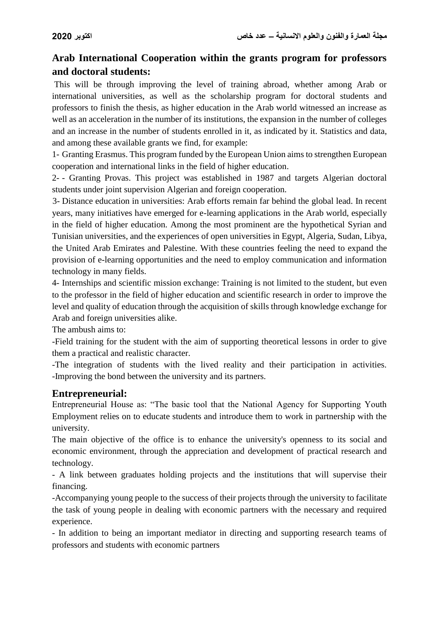# **Arab International Cooperation within the grants program for professors and doctoral students:**

This will be through improving the level of training abroad, whether among Arab or international universities, as well as the scholarship program for doctoral students and professors to finish the thesis, as higher education in the Arab world witnessed an increase as well as an acceleration in the number of its institutions, the expansion in the number of colleges and an increase in the number of students enrolled in it, as indicated by it. Statistics and data, and among these available grants we find, for example:

1- Granting Erasmus. This program funded by the European Union aims to strengthen European cooperation and international links in the field of higher education.

2- - Granting Provas. This project was established in 1987 and targets Algerian doctoral students under joint supervision Algerian and foreign cooperation.

3- Distance education in universities: Arab efforts remain far behind the global lead. In recent years, many initiatives have emerged for e-learning applications in the Arab world, especially in the field of higher education. Among the most prominent are the hypothetical Syrian and Tunisian universities, and the experiences of open universities in Egypt, Algeria, Sudan, Libya, the United Arab Emirates and Palestine. With these countries feeling the need to expand the provision of e-learning opportunities and the need to employ communication and information technology in many fields.

4- Internships and scientific mission exchange: Training is not limited to the student, but even to the professor in the field of higher education and scientific research in order to improve the level and quality of education through the acquisition of skills through knowledge exchange for Arab and foreign universities alike.

The ambush aims to:

-Field training for the student with the aim of supporting theoretical lessons in order to give them a practical and realistic character.

-The integration of students with the lived reality and their participation in activities. -Improving the bond between the university and its partners.

# **Entrepreneurial:**

Entrepreneurial House as: "The basic tool that the National Agency for Supporting Youth Employment relies on to educate students and introduce them to work in partnership with the university.

The main objective of the office is to enhance the university's openness to its social and economic environment, through the appreciation and development of practical research and technology.

- A link between graduates holding projects and the institutions that will supervise their financing.

-Accompanying young people to the success of their projects through the university to facilitate the task of young people in dealing with economic partners with the necessary and required experience.

- In addition to being an important mediator in directing and supporting research teams of professors and students with economic partners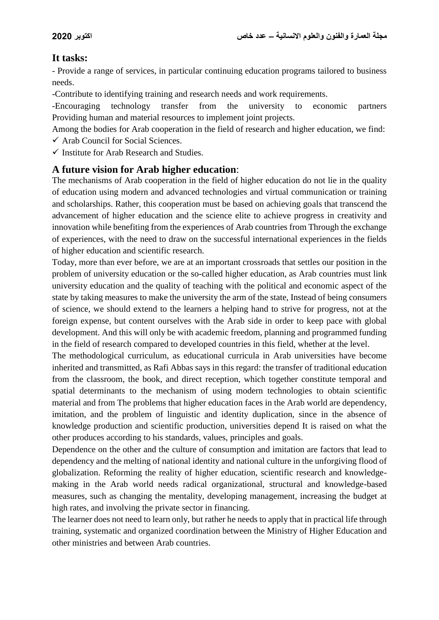# **It tasks:**

- Provide a range of services, in particular continuing education programs tailored to business needs.

-Contribute to identifying training and research needs and work requirements.

-Encouraging technology transfer from the university to economic partners Providing human and material resources to implement joint projects.

Among the bodies for Arab cooperation in the field of research and higher education, we find:  $\checkmark$  Arab Council for Social Sciences.

 $\checkmark$  Institute for Arab Research and Studies.

# **A future vision for Arab higher education**:

The mechanisms of Arab cooperation in the field of higher education do not lie in the quality of education using modern and advanced technologies and virtual communication or training and scholarships. Rather, this cooperation must be based on achieving goals that transcend the advancement of higher education and the science elite to achieve progress in creativity and innovation while benefiting from the experiences of Arab countries from Through the exchange of experiences, with the need to draw on the successful international experiences in the fields of higher education and scientific research.

Today, more than ever before, we are at an important crossroads that settles our position in the problem of university education or the so-called higher education, as Arab countries must link university education and the quality of teaching with the political and economic aspect of the state by taking measures to make the university the arm of the state, Instead of being consumers of science, we should extend to the learners a helping hand to strive for progress, not at the foreign expense, but content ourselves with the Arab side in order to keep pace with global development. And this will only be with academic freedom, planning and programmed funding in the field of research compared to developed countries in this field, whether at the level.

The methodological curriculum, as educational curricula in Arab universities have become inherited and transmitted, as Rafi Abbas says in this regard: the transfer of traditional education from the classroom, the book, and direct reception, which together constitute temporal and spatial determinants to the mechanism of using modern technologies to obtain scientific material and from The problems that higher education faces in the Arab world are dependency, imitation, and the problem of linguistic and identity duplication, since in the absence of knowledge production and scientific production, universities depend It is raised on what the other produces according to his standards, values, principles and goals.

Dependence on the other and the culture of consumption and imitation are factors that lead to dependency and the melting of national identity and national culture in the unforgiving flood of globalization. Reforming the reality of higher education, scientific research and knowledgemaking in the Arab world needs radical organizational, structural and knowledge-based measures, such as changing the mentality, developing management, increasing the budget at high rates, and involving the private sector in financing.

The learner does not need to learn only, but rather he needs to apply that in practical life through training, systematic and organized coordination between the Ministry of Higher Education and other ministries and between Arab countries.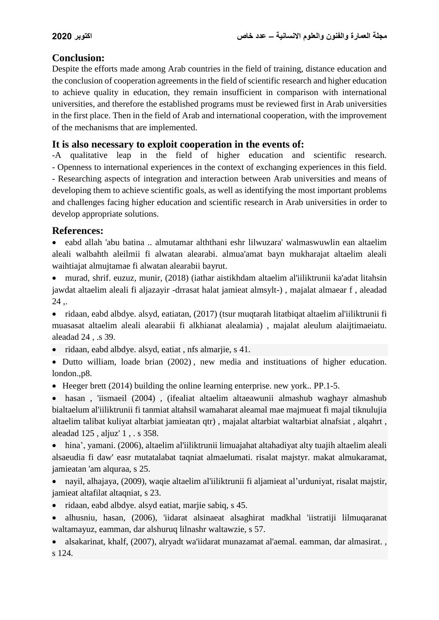# **Conclusion:**

Despite the efforts made among Arab countries in the field of training, distance education and the conclusion of cooperation agreements in the field of scientific research and higher education to achieve quality in education, they remain insufficient in comparison with international universities, and therefore the established programs must be reviewed first in Arab universities in the first place. Then in the field of Arab and international cooperation, with the improvement of the mechanisms that are implemented.

# **It is also necessary to exploit cooperation in the events of:**

-A qualitative leap in the field of higher education and scientific research. - Openness to international experiences in the context of exchanging experiences in this field. - Researching aspects of integration and interaction between Arab universities and means of developing them to achieve scientific goals, as well as identifying the most important problems and challenges facing higher education and scientific research in Arab universities in order to develop appropriate solutions.

# **References:**

 eabd allah 'abu batina .. almutamar alththani eshr lilwuzara' walmaswuwlin ean altaelim aleali walbahth aleilmii fi alwatan alearabi. almua'amat bayn mukharajat altaelim aleali waihtiajat almujtamae fi alwatan alearabii bayrut.

 murad, shrif. euzuz, munir, (2018) (iathar aistikhdam altaelim al'iiliktrunii ka'adat litahsin jawdat altaelim aleali fi aljazayir -drrasat halat jamieat almsylt-) , majalat almaear f , aleadad  $24.$ 

 ridaan, eabd albdye. alsyd, eatiatan, (2017) (tsur muqtarah litatbiqat altaelim al'iiliktrunii fi muasasat altaelim aleali alearabii fi alkhianat alealamia) , majalat aleulum alaijtimaeiatu. aleadad 24 , .s 39.

• ridaan, eabd albdye. alsyd, eatiat, nfs almarjie, s 41.

 Dutto william, loade brian (2002) , new media and instituations of higher education. london.,p8.

Heeger brett (2014) building the online learning enterprise. new york.. PP.1-5.

 hasan , 'iismaeil (2004) , (ifealiat altaelim altaeawunii almashub waghayr almashub bialtaelum al'iiliktrunii fi tanmiat altahsil wamaharat aleamal mae majmueat fi majal tiknulujia altaelim talibat kuliyat altarbiat jamieatan qtr) , majalat altarbiat waltarbiat alnafsiat , alqahrt , aleadad 125 , aljuz' 1 , . s 358.

 hina', yamani. (2006), altaelim al'iiliktrunii limuajahat altahadiyat alty tuajih altaelim aleali alsaeudia fi daw' easr mutatalabat taqniat almaelumati. risalat majstyr. makat almukaramat, jamieatan 'am alquraa, s 25.

 nayil, alhajaya, (2009), waqie altaelim al'iiliktrunii fi aljamieat al'urduniyat, risalat majstir, jamieat altafilat altaqniat, s 23.

- ridaan, eabd albdye. alsyd eatiat, marjie sabiq, s 45.
- alhusniu, hasan, (2006), 'iidarat alsinaeat alsaghirat madkhal 'iistratiji lilmuqaranat waltamayuz, eamman, dar alshuruq lilnashr waltawzie, s 57.

 alsakarinat, khalf, (2007), alryadt wa'iidarat munazamat al'aemal. eamman, dar almasirat. , s 124.